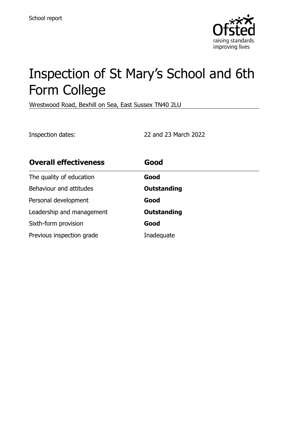

# Inspection of St Mary's School and 6th Form College

Wrestwood Road, Bexhill on Sea, East Sussex TN40 2LU

Inspection dates: 22 and 23 March 2022

| <b>Overall effectiveness</b> | Good               |
|------------------------------|--------------------|
| The quality of education     | Good               |
| Behaviour and attitudes      | <b>Outstanding</b> |
| Personal development         | Good               |
| Leadership and management    | <b>Outstanding</b> |
| Sixth-form provision         | Good               |
| Previous inspection grade    | Inadequate         |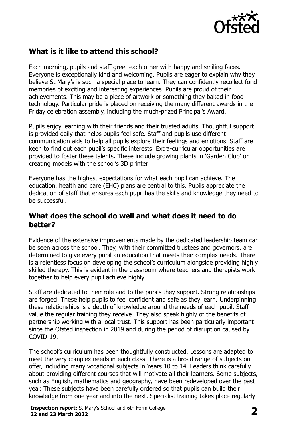

# **What is it like to attend this school?**

Each morning, pupils and staff greet each other with happy and smiling faces. Everyone is exceptionally kind and welcoming. Pupils are eager to explain why they believe St Mary's is such a special place to learn. They can confidently recollect fond memories of exciting and interesting experiences. Pupils are proud of their achievements. This may be a piece of artwork or something they baked in food technology. Particular pride is placed on receiving the many different awards in the Friday celebration assembly, including the much-prized Principal's Award.

Pupils enjoy learning with their friends and their trusted adults. Thoughtful support is provided daily that helps pupils feel safe. Staff and pupils use different communication aids to help all pupils explore their feelings and emotions. Staff are keen to find out each pupil's specific interests. Extra-curricular opportunities are provided to foster these talents. These include growing plants in 'Garden Club' or creating models with the school's 3D printer.

Everyone has the highest expectations for what each pupil can achieve. The education, health and care (EHC) plans are central to this. Pupils appreciate the dedication of staff that ensures each pupil has the skills and knowledge they need to be successful.

#### **What does the school do well and what does it need to do better?**

Evidence of the extensive improvements made by the dedicated leadership team can be seen across the school. They, with their committed trustees and governors, are determined to give every pupil an education that meets their complex needs. There is a relentless focus on developing the school's curriculum alongside providing highly skilled therapy. This is evident in the classroom where teachers and therapists work together to help every pupil achieve highly.

Staff are dedicated to their role and to the pupils they support. Strong relationships are forged. These help pupils to feel confident and safe as they learn. Underpinning these relationships is a depth of knowledge around the needs of each pupil. Staff value the regular training they receive. They also speak highly of the benefits of partnership working with a local trust. This support has been particularly important since the Ofsted inspection in 2019 and during the period of disruption caused by COVID-19.

The school's curriculum has been thoughtfully constructed. Lessons are adapted to meet the very complex needs in each class. There is a broad range of subjects on offer, including many vocational subjects in Years 10 to 14. Leaders think carefully about providing different courses that will motivate all their learners. Some subjects, such as English, mathematics and geography, have been redeveloped over the past year. These subjects have been carefully ordered so that pupils can build their knowledge from one year and into the next. Specialist training takes place regularly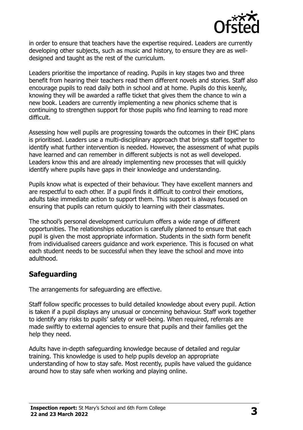

in order to ensure that teachers have the expertise required. Leaders are currently developing other subjects, such as music and history, to ensure they are as welldesigned and taught as the rest of the curriculum.

Leaders prioritise the importance of reading. Pupils in key stages two and three benefit from hearing their teachers read them different novels and stories. Staff also encourage pupils to read daily both in school and at home. Pupils do this keenly, knowing they will be awarded a raffle ticket that gives them the chance to win a new book. Leaders are currently implementing a new phonics scheme that is continuing to strengthen support for those pupils who find learning to read more difficult.

Assessing how well pupils are progressing towards the outcomes in their EHC plans is prioritised. Leaders use a multi-disciplinary approach that brings staff together to identify what further intervention is needed. However, the assessment of what pupils have learned and can remember in different subjects is not as well developed. Leaders know this and are already implementing new processes that will quickly identify where pupils have gaps in their knowledge and understanding.

Pupils know what is expected of their behaviour. They have excellent manners and are respectful to each other. If a pupil finds it difficult to control their emotions, adults take immediate action to support them. This support is always focused on ensuring that pupils can return quickly to learning with their classmates.

The school's personal development curriculum offers a wide range of different opportunities. The relationships education is carefully planned to ensure that each pupil is given the most appropriate information. Students in the sixth form benefit from individualised careers guidance and work experience. This is focused on what each student needs to be successful when they leave the school and move into adulthood.

# **Safeguarding**

The arrangements for safeguarding are effective.

Staff follow specific processes to build detailed knowledge about every pupil. Action is taken if a pupil displays any unusual or concerning behaviour. Staff work together to identify any risks to pupils' safety or well-being. When required, referrals are made swiftly to external agencies to ensure that pupils and their families get the help they need.

Adults have in-depth safeguarding knowledge because of detailed and regular training. This knowledge is used to help pupils develop an appropriate understanding of how to stay safe. Most recently, pupils have valued the guidance around how to stay safe when working and playing online.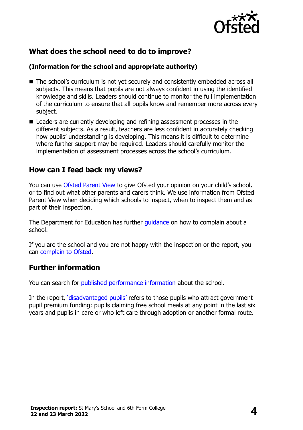

# **What does the school need to do to improve?**

#### **(Information for the school and appropriate authority)**

- The school's curriculum is not yet securely and consistently embedded across all subjects. This means that pupils are not always confident in using the identified knowledge and skills. Leaders should continue to monitor the full implementation of the curriculum to ensure that all pupils know and remember more across every subject.
- Leaders are currently developing and refining assessment processes in the different subjects. As a result, teachers are less confident in accurately checking how pupils' understanding is developing. This means it is difficult to determine where further support may be required. Leaders should carefully monitor the implementation of assessment processes across the school's curriculum.

## **How can I feed back my views?**

You can use [Ofsted Parent View](http://parentview.ofsted.gov.uk/) to give Ofsted your opinion on your child's school, or to find out what other parents and carers think. We use information from Ofsted Parent View when deciding which schools to inspect, when to inspect them and as part of their inspection.

The Department for Education has further quidance on how to complain about a school.

If you are the school and you are not happy with the inspection or the report, you can [complain to Ofsted.](http://www.gov.uk/complain-ofsted-report)

## **Further information**

You can search for [published performance information](http://www.compare-school-performance.service.gov.uk/) about the school.

In the report, '[disadvantaged pupils](http://www.gov.uk/guidance/pupil-premium-information-for-schools-and-alternative-provision-settings)' refers to those pupils who attract government pupil premium funding: pupils claiming free school meals at any point in the last six years and pupils in care or who left care through adoption or another formal route.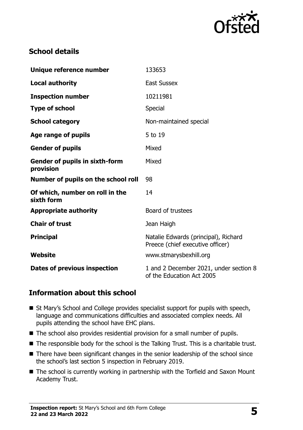

# **School details**

| Unique reference number                            | 133653                                                                   |
|----------------------------------------------------|--------------------------------------------------------------------------|
| <b>Local authority</b>                             | <b>East Sussex</b>                                                       |
| <b>Inspection number</b>                           | 10211981                                                                 |
| <b>Type of school</b>                              | Special                                                                  |
| <b>School category</b>                             | Non-maintained special                                                   |
| Age range of pupils                                | 5 to 19                                                                  |
| <b>Gender of pupils</b>                            | Mixed                                                                    |
| <b>Gender of pupils in sixth-form</b><br>provision | Mixed                                                                    |
| Number of pupils on the school roll                | 98                                                                       |
| Of which, number on roll in the<br>sixth form      | 14                                                                       |
| <b>Appropriate authority</b>                       | Board of trustees                                                        |
| <b>Chair of trust</b>                              | Jean Haigh                                                               |
| <b>Principal</b>                                   | Natalie Edwards (principal), Richard<br>Preece (chief executive officer) |
| Website                                            | www.stmarysbexhill.org                                                   |
| Dates of previous inspection                       | 1 and 2 December 2021, under section 8<br>of the Education Act 2005      |

# **Information about this school**

- St Mary's School and College provides specialist support for pupils with speech, language and communications difficulties and associated complex needs. All pupils attending the school have EHC plans.
- The school also provides residential provision for a small number of pupils.
- The responsible body for the school is the Talking Trust. This is a charitable trust.
- There have been significant changes in the senior leadership of the school since the school's last section 5 inspection in February 2019.
- The school is currently working in partnership with the Torfield and Saxon Mount Academy Trust.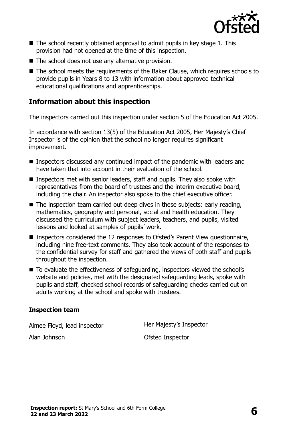

- $\blacksquare$  The school recently obtained approval to admit pupils in key stage 1. This provision had not opened at the time of this inspection.
- $\blacksquare$  The school does not use any alternative provision.
- The school meets the requirements of the Baker Clause, which requires schools to provide pupils in Years 8 to 13 with information about approved technical educational qualifications and apprenticeships.

# **Information about this inspection**

The inspectors carried out this inspection under section 5 of the Education Act 2005.

In accordance with section 13(5) of the Education Act 2005, Her Majesty's Chief Inspector is of the opinion that the school no longer requires significant improvement.

- Inspectors discussed any continued impact of the pandemic with leaders and have taken that into account in their evaluation of the school.
- Inspectors met with senior leaders, staff and pupils. They also spoke with representatives from the board of trustees and the interim executive board, including the chair. An inspector also spoke to the chief executive officer.
- $\blacksquare$  The inspection team carried out deep dives in these subjects: early reading, mathematics, geography and personal, social and health education. They discussed the curriculum with subject leaders, teachers, and pupils, visited lessons and looked at samples of pupils' work.
- Inspectors considered the 12 responses to Ofsted's Parent View questionnaire, including nine free-text comments. They also took account of the responses to the confidential survey for staff and gathered the views of both staff and pupils throughout the inspection.
- To evaluate the effectiveness of safeguarding, inspectors viewed the school's website and policies, met with the designated safeguarding leads, spoke with pupils and staff, checked school records of safeguarding checks carried out on adults working at the school and spoke with trustees.

#### **Inspection team**

Aimee Floyd, lead inspector **Her Majesty's Inspector** 

Alan Johnson **Ofsted Inspector**